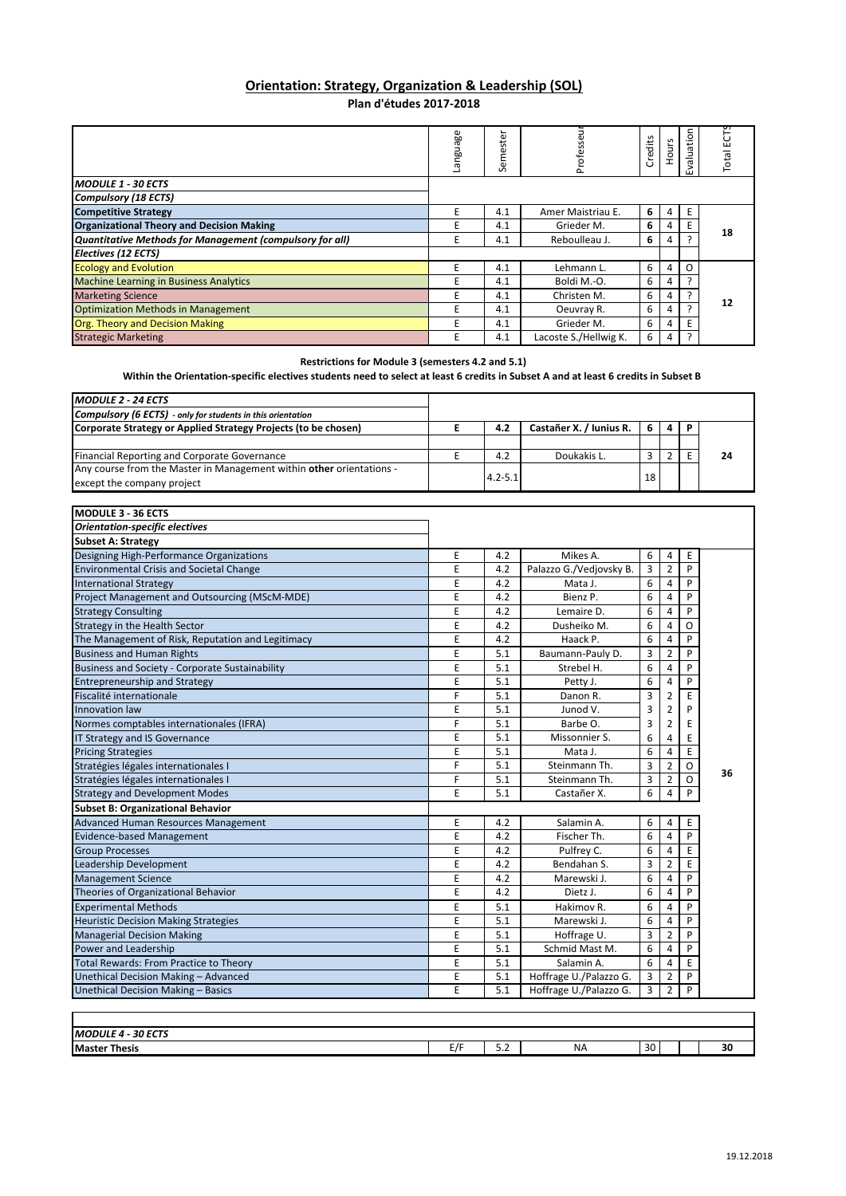## **Orientation: Strategy, Organization & Leadership (SOL) Plan d'études 2017‐2018**

|                                                          | anguage | ត<br>ಕ<br>ω<br>Ē<br>$\sim$ | 긃<br>S<br>Profes      | edits<br>ပ် | ours | $\overline{5}$<br>valuatio<br>ш | 5<br>ŵ<br>Total |
|----------------------------------------------------------|---------|----------------------------|-----------------------|-------------|------|---------------------------------|-----------------|
| <b>MODULE 1 - 30 ECTS</b>                                |         |                            |                       |             |      |                                 |                 |
| <b>Compulsory (18 ECTS)</b>                              |         |                            |                       |             |      |                                 |                 |
| <b>Competitive Strategy</b>                              | E       | 4.1                        | Amer Maistriau E.     | 6           | 4    |                                 |                 |
| <b>Organizational Theory and Decision Making</b>         | E       | 4.1                        | Grieder M.            | 6           | 4    |                                 | 18              |
| Quantitative Methods for Management (compulsory for all) | E       | 4.1                        | Reboulleau J.         | 6           | 4    |                                 |                 |
| Electives (12 ECTS)                                      |         |                            |                       |             |      |                                 |                 |
| <b>Ecology and Evolution</b>                             | E       | 4.1                        | Lehmann L.            | 6           | 4    | Ω                               |                 |
| <b>Machine Learning in Business Analytics</b>            | E       | 4.1                        | Boldi M.-O.           | 6           | 4    |                                 | 12              |
| <b>Marketing Science</b>                                 | E       | 4.1                        | Christen M.           | 6           | 4    |                                 |                 |
| <b>Optimization Methods in Management</b>                | E       | 4.1                        | Oeuvray R.            | 6           | 4    |                                 |                 |
| <b>Org. Theory and Decision Making</b>                   | F       | 4.1                        | Grieder M.            | 6           | 4    |                                 |                 |
| <b>Strategic Marketing</b>                               | E       | 4.1                        | Lacoste S./Hellwig K. | 6           | 4    |                                 |                 |

## **Restrictions for Module 3 (semesters 4.2 and 5.1)**

## Within the Orientation-specific electives students need to select at least 6 credits in Subset A and at least 6 credits in Subset B

| <b>MODULE 2 - 24 ECTS</b>                                            |             |                         |    |   |   |    |
|----------------------------------------------------------------------|-------------|-------------------------|----|---|---|----|
| <b>Compulsory (6 ECTS)</b> - only for students in this orientation   |             |                         |    |   |   |    |
| Corporate Strategy or Applied Strategy Projects (to be chosen)       | 4.2         | Castañer X. / Iunius R. | -6 | 4 | P |    |
|                                                                      |             |                         |    |   |   |    |
| <b>Financial Reporting and Corporate Governance</b>                  | 4.2         | Doukakis L.             |    |   |   | 24 |
| Any course from the Master in Management within other orientations - |             |                         |    |   |   |    |
| except the company project                                           | $4.2 - 5.1$ |                         | 18 |   |   |    |

| <b>Orientation-specific electives</b><br><b>Subset A: Strategy</b><br>Designing High-Performance Organizations<br><b>Environmental Crisis and Societal Change</b><br><b>International Strategy</b><br>Project Management and Outsourcing (MScM-MDE)<br><b>Strategy Consulting</b> | E<br>E<br>E<br>E | 4.2<br>4.2 | Mikes A.<br>Palazzo G./Vedjovsky B. | 6              | 4              | E        |    |
|-----------------------------------------------------------------------------------------------------------------------------------------------------------------------------------------------------------------------------------------------------------------------------------|------------------|------------|-------------------------------------|----------------|----------------|----------|----|
|                                                                                                                                                                                                                                                                                   |                  |            |                                     |                |                |          |    |
|                                                                                                                                                                                                                                                                                   |                  |            |                                     |                |                |          |    |
|                                                                                                                                                                                                                                                                                   |                  |            |                                     |                |                |          |    |
|                                                                                                                                                                                                                                                                                   |                  |            |                                     | 3              | $\overline{2}$ | P        |    |
|                                                                                                                                                                                                                                                                                   |                  | 4.2        | Mata J.                             | 6              | 4              | P        |    |
|                                                                                                                                                                                                                                                                                   |                  | 4.2        | Bienz P.                            | 6              | 4              | P        |    |
|                                                                                                                                                                                                                                                                                   | E                | 4.2        | Lemaire D.                          | 6              | 4              | P        |    |
| <b>Strategy in the Health Sector</b>                                                                                                                                                                                                                                              | E                | 4.2        | Dusheiko M.                         | 6              | 4              | O        |    |
| The Management of Risk, Reputation and Legitimacy                                                                                                                                                                                                                                 | E                | 4.2        | Haack P.                            | 6              | $\overline{4}$ | P        |    |
| <b>Business and Human Rights</b>                                                                                                                                                                                                                                                  | E                | 5.1        | Baumann-Pauly D.                    | 3              | $\overline{2}$ | P        |    |
| Business and Society - Corporate Sustainability                                                                                                                                                                                                                                   | E                | 5.1        | Strebel H.                          | 6              | 4              | P        |    |
| <b>Entrepreneurship and Strategy</b>                                                                                                                                                                                                                                              | E                | 5.1        | Petty J.                            | 6              | $\overline{4}$ | P        |    |
| Fiscalité internationale                                                                                                                                                                                                                                                          | F                | 5.1        | Danon R.                            | 3              | 2              | E        |    |
| Innovation law                                                                                                                                                                                                                                                                    | E                | 5.1        | Junod V.                            | 3              | $\overline{2}$ | P        |    |
| Normes comptables internationales (IFRA)                                                                                                                                                                                                                                          | F                | 5.1        | Barbe O.                            | 3              | $\overline{2}$ | E        |    |
| IT Strategy and IS Governance                                                                                                                                                                                                                                                     | E                | 5.1        | Missonnier S.                       | 6              | 4              | E        |    |
| <b>Pricing Strategies</b>                                                                                                                                                                                                                                                         | E                | 5.1        | Mata J.                             | 6              | 4              | E        |    |
| Stratégies légales internationales I                                                                                                                                                                                                                                              | F                | 5.1        | Steinmann Th.                       | 3              | $\overline{2}$ | $\Omega$ | 36 |
| Stratégies légales internationales I                                                                                                                                                                                                                                              | F                | 5.1        | Steinmann Th.                       | 3              | $\overline{2}$ | $\circ$  |    |
| <b>Strategy and Development Modes</b>                                                                                                                                                                                                                                             | E                | 5.1        | Castañer X.                         | 6              | 4              | P        |    |
| <b>Subset B: Organizational Behavior</b>                                                                                                                                                                                                                                          |                  |            |                                     |                |                |          |    |
| <b>Advanced Human Resources Management</b>                                                                                                                                                                                                                                        | E                | 4.2        | Salamin A.                          | 6              | 4              | E        |    |
| <b>Evidence-based Management</b>                                                                                                                                                                                                                                                  | E                | 4.2        | Fischer Th.                         | 6              | $\overline{4}$ | P        |    |
| <b>Group Processes</b>                                                                                                                                                                                                                                                            | E                | 4.2        | Pulfrey C.                          | 6              | 4              | E        |    |
| Leadership Development                                                                                                                                                                                                                                                            | E                | 4.2        | Bendahan S.                         | 3              | $\overline{2}$ | E        |    |
| <b>Management Science</b>                                                                                                                                                                                                                                                         | E                | 4.2        | Marewski J.                         | 6              | 4              | P        |    |
| Theories of Organizational Behavior                                                                                                                                                                                                                                               | E                | 4.2        | Dietz J.                            | 6              | 4              | P        |    |
| <b>Experimental Methods</b>                                                                                                                                                                                                                                                       | E                | 5.1        | Hakimov R.                          | 6              | 4              | P        |    |
| <b>Heuristic Decision Making Strategies</b>                                                                                                                                                                                                                                       | E                | 5.1        | Marewski J.                         | 6              | 4              | P        |    |
| <b>Managerial Decision Making</b>                                                                                                                                                                                                                                                 | E                | 5.1        | Hoffrage U.                         | 3              | $\overline{2}$ | P        |    |
| Power and Leadership                                                                                                                                                                                                                                                              | E                | 5.1        | Schmid Mast M.                      | 6              | 4              | P        |    |
| <b>Total Rewards: From Practice to Theory</b>                                                                                                                                                                                                                                     | E                | 5.1        | Salamin A.                          | 6              | $\overline{4}$ | E        |    |
| Unethical Decision Making - Advanced                                                                                                                                                                                                                                              | E                | 5.1        | Hoffrage U./Palazzo G.              | 3              | $\overline{2}$ | P        |    |
| Unethical Decision Making - Basics                                                                                                                                                                                                                                                | E                | 5.1        | Hoffrage U./Palazzo G.              | $\overline{3}$ | $\overline{2}$ | P        |    |

| $\sim$<br>----<br><b>IMO</b><br>. .<br>.<br>. . |       |                 |    |   |   |
|-------------------------------------------------|-------|-----------------|----|---|---|
| <b>Maste</b><br>Thesis<br>- --                  | $-IF$ | -<br>-<br>ے . ـ | NA | . | ж |